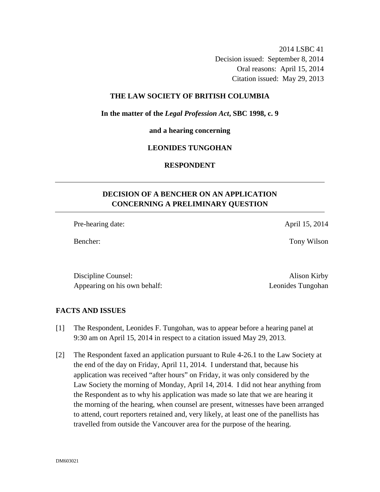2014 LSBC 41 Decision issued: September 8, 2014 Oral reasons: April 15, 2014 Citation issued: May 29, 2013

### **THE LAW SOCIETY OF BRITISH COLUMBIA**

#### **In the matter of the** *Legal Profession Act***, SBC 1998, c. 9**

**and a hearing concerning** 

#### **LEONIDES TUNGOHAN**

# **RESPONDENT**

# **DECISION OF A BENCHER ON AN APPLICATION CONCERNING A PRELIMINARY QUESTION**

Pre-hearing date: April 15, 2014

Bencher: Tony Wilson

Discipline Counsel: Alison Kirby Appearing on his own behalf: Leonides Tungohan

## **FACTS AND ISSUES**

- [1] The Respondent, Leonides F. Tungohan, was to appear before a hearing panel at 9:30 am on April 15, 2014 in respect to a citation issued May 29, 2013.
- [2] The Respondent faxed an application pursuant to Rule 4-26.1 to the Law Society at the end of the day on Friday, April 11, 2014. I understand that, because his application was received "after hours" on Friday, it was only considered by the Law Society the morning of Monday, April 14, 2014. I did not hear anything from the Respondent as to why his application was made so late that we are hearing it the morning of the hearing, when counsel are present, witnesses have been arranged to attend, court reporters retained and, very likely, at least one of the panellists has travelled from outside the Vancouver area for the purpose of the hearing.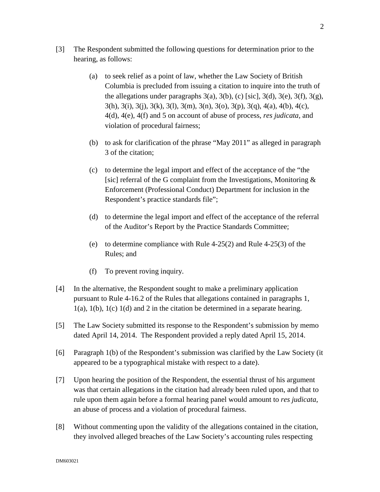- [3] The Respondent submitted the following questions for determination prior to the hearing, as follows:
	- (a) to seek relief as a point of law, whether the Law Society of British Columbia is precluded from issuing a citation to inquire into the truth of the allegations under paragraphs  $3(a)$ ,  $3(b)$ , (c) [sic],  $3(d)$ ,  $3(e)$ ,  $3(f)$ ,  $3(g)$ ,  $3(h)$ ,  $3(i)$ ,  $3(i)$ ,  $3(k)$ ,  $3(l)$ ,  $3(m)$ ,  $3(n)$ ,  $3(o)$ ,  $3(p)$ ,  $3(q)$ ,  $4(a)$ ,  $4(b)$ ,  $4(c)$ , 4(d), 4(e), 4(f) and 5 on account of abuse of process, *res judicata,* and violation of procedural fairness;
	- (b) to ask for clarification of the phrase "May 2011" as alleged in paragraph 3 of the citation;
	- (c) to determine the legal import and effect of the acceptance of the "the [sic] referral of the G complaint from the Investigations, Monitoring  $\&$ Enforcement (Professional Conduct) Department for inclusion in the Respondent's practice standards file";
	- (d) to determine the legal import and effect of the acceptance of the referral of the Auditor's Report by the Practice Standards Committee;
	- (e) to determine compliance with Rule  $4-25(2)$  and Rule  $4-25(3)$  of the Rules; and
	- (f) To prevent roving inquiry.
- [4] In the alternative, the Respondent sought to make a preliminary application pursuant to Rule 4-16.2 of the Rules that allegations contained in paragraphs 1,  $1(a)$ ,  $1(b)$ ,  $1(c)$   $1(d)$  and 2 in the citation be determined in a separate hearing.
- [5] The Law Society submitted its response to the Respondent's submission by memo dated April 14, 2014. The Respondent provided a reply dated April 15, 2014.
- [6] Paragraph 1(b) of the Respondent's submission was clarified by the Law Society (it appeared to be a typographical mistake with respect to a date).
- [7] Upon hearing the position of the Respondent, the essential thrust of his argument was that certain allegations in the citation had already been ruled upon, and that to rule upon them again before a formal hearing panel would amount to *res judicata*, an abuse of process and a violation of procedural fairness.
- [8] Without commenting upon the validity of the allegations contained in the citation, they involved alleged breaches of the Law Society's accounting rules respecting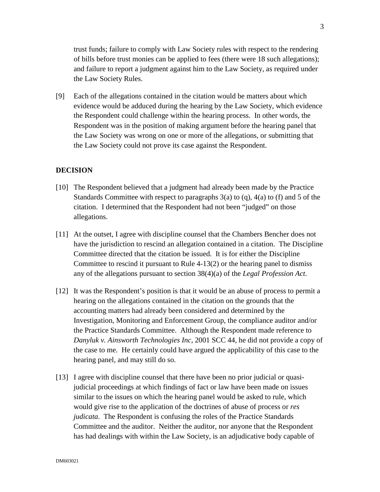trust funds; failure to comply with Law Society rules with respect to the rendering of bills before trust monies can be applied to fees (there were 18 such allegations); and failure to report a judgment against him to the Law Society, as required under the Law Society Rules.

[9] Each of the allegations contained in the citation would be matters about which evidence would be adduced during the hearing by the Law Society, which evidence the Respondent could challenge within the hearing process. In other words, the Respondent was in the position of making argument before the hearing panel that the Law Society was wrong on one or more of the allegations, or submitting that the Law Society could not prove its case against the Respondent.

### **DECISION**

- [10] The Respondent believed that a judgment had already been made by the Practice Standards Committee with respect to paragraphs  $3(a)$  to  $(q)$ ,  $4(a)$  to  $(f)$  and 5 of the citation. I determined that the Respondent had not been "judged" on those allegations.
- [11] At the outset, I agree with discipline counsel that the Chambers Bencher does not have the jurisdiction to rescind an allegation contained in a citation. The Discipline Committee directed that the citation be issued. It is for either the Discipline Committee to rescind it pursuant to Rule 4-13(2) or the hearing panel to dismiss any of the allegations pursuant to section 38(4)(a) of the *Legal Profession Act*.
- [12] It was the Respondent's position is that it would be an abuse of process to permit a hearing on the allegations contained in the citation on the grounds that the accounting matters had already been considered and determined by the Investigation, Monitoring and Enforcement Group, the compliance auditor and/or the Practice Standards Committee. Although the Respondent made reference to *Danyluk v. Ainsworth Technologies Inc*, 2001 SCC 44, he did not provide a copy of the case to me. He certainly could have argued the applicability of this case to the hearing panel, and may still do so.
- [13] I agree with discipline counsel that there have been no prior judicial or quasijudicial proceedings at which findings of fact or law have been made on issues similar to the issues on which the hearing panel would be asked to rule, which would give rise to the application of the doctrines of abuse of process or *res judicata*. The Respondent is confusing the roles of the Practice Standards Committee and the auditor. Neither the auditor, nor anyone that the Respondent has had dealings with within the Law Society, is an adjudicative body capable of